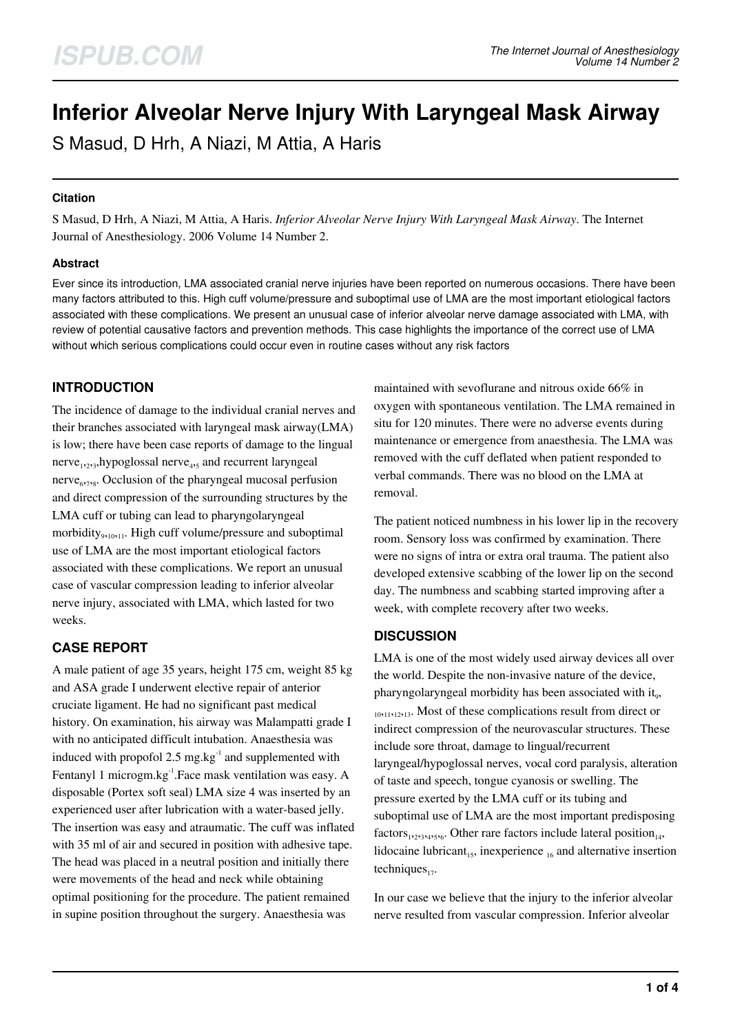# **Inferior Alveolar Nerve Injury With Laryngeal Mask Airway**

S Masud, D Hrh, A Niazi, M Attia, A Haris

## **Citation**

S Masud, D Hrh, A Niazi, M Attia, A Haris. *Inferior Alveolar Nerve Injury With Laryngeal Mask Airway*. The Internet Journal of Anesthesiology. 2006 Volume 14 Number 2.

## **Abstract**

Ever since its introduction, LMA associated cranial nerve injuries have been reported on numerous occasions. There have been many factors attributed to this. High cuff volume/pressure and suboptimal use of LMA are the most important etiological factors associated with these complications. We present an unusual case of inferior alveolar nerve damage associated with LMA, with review of potential causative factors and prevention methods. This case highlights the importance of the correct use of LMA without which serious complications could occur even in routine cases without any risk factors

## **INTRODUCTION**

The incidence of damage to the individual cranial nerves and their branches associated with laryngeal mask airway(LMA) is low; there have been case reports of damage to the lingual nerve<sub>1,2,3</sub>,hypoglossal nerve<sub>4,5</sub> and recurrent laryngeal nerve<sub>6778</sub>. Occlusion of the pharyngeal mucosal perfusion and direct compression of the surrounding structures by the LMA cuff or tubing can lead to pharyngolaryngeal morbidity<sub>9,10,11</sub>. High cuff volume/pressure and suboptimal use of LMA are the most important etiological factors associated with these complications. We report an unusual case of vascular compression leading to inferior alveolar nerve injury, associated with LMA, which lasted for two weeks.

# **CASE REPORT**

A male patient of age 35 years, height 175 cm, weight 85 kg and ASA grade I underwent elective repair of anterior cruciate ligament. He had no significant past medical history. On examination, his airway was Malampatti grade I with no anticipated difficult intubation. Anaesthesia was induced with propofol 2.5 mg.kg<sup>-1</sup> and supplemented with Fentanyl 1 microgm.kg<sup>-1</sup>.Face mask ventilation was easy. A disposable (Portex soft seal) LMA size 4 was inserted by an experienced user after lubrication with a water-based jelly. The insertion was easy and atraumatic. The cuff was inflated with 35 ml of air and secured in position with adhesive tape. The head was placed in a neutral position and initially there were movements of the head and neck while obtaining optimal positioning for the procedure. The patient remained in supine position throughout the surgery. Anaesthesia was

maintained with sevoflurane and nitrous oxide 66% in oxygen with spontaneous ventilation. The LMA remained in situ for 120 minutes. There were no adverse events during maintenance or emergence from anaesthesia. The LMA was removed with the cuff deflated when patient responded to verbal commands. There was no blood on the LMA at removal.

The patient noticed numbness in his lower lip in the recovery room. Sensory loss was confirmed by examination. There were no signs of intra or extra oral trauma. The patient also developed extensive scabbing of the lower lip on the second day. The numbness and scabbing started improving after a week, with complete recovery after two weeks.

## **DISCUSSION**

LMA is one of the most widely used airway devices all over the world. Despite the non-invasive nature of the device, pharyngolaryngeal morbidity has been associated with it<sub>9</sub>, <sup>10</sup>,11,12,13. Most of these complications result from direct or indirect compression of the neurovascular structures. These include sore throat, damage to lingual/recurrent laryngeal/hypoglossal nerves, vocal cord paralysis, alteration of taste and speech, tongue cyanosis or swelling. The pressure exerted by the LMA cuff or its tubing and suboptimal use of LMA are the most important predisposing  $factors_{1,2,3,4,5,6}$ . Other rare factors include lateral position<sub>14</sub>, lidocaine lubricant<sub>15</sub>, inexperience  $_{16}$  and alternative insertion techniques $_{17}$ .

In our case we believe that the injury to the inferior alveolar nerve resulted from vascular compression. Inferior alveolar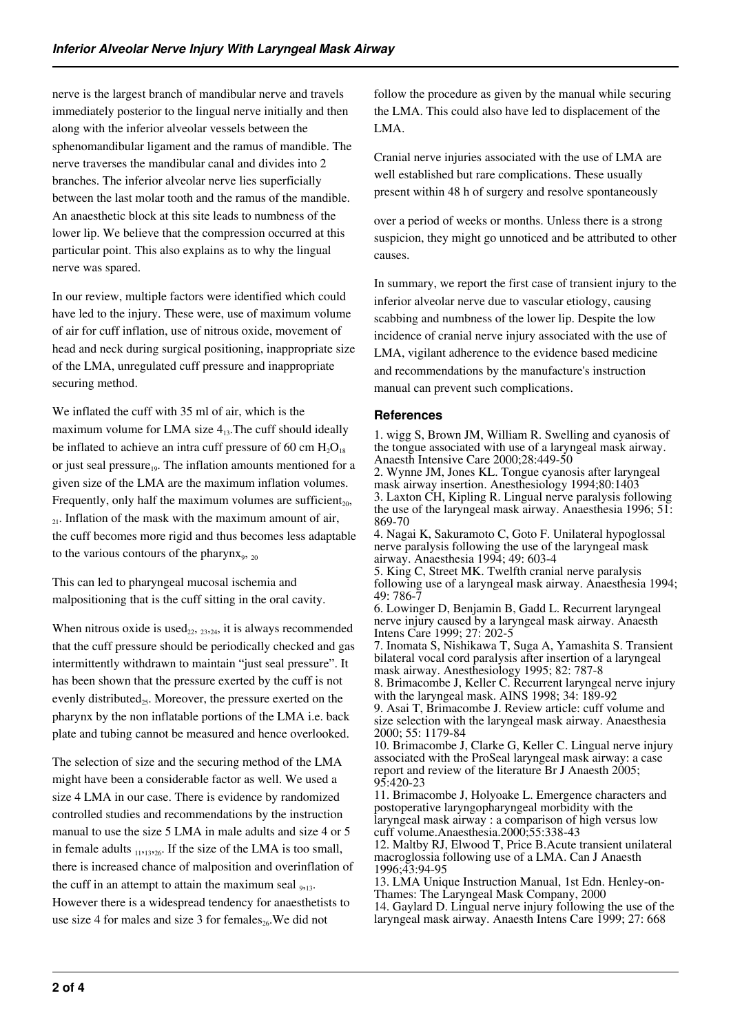nerve is the largest branch of mandibular nerve and travels immediately posterior to the lingual nerve initially and then along with the inferior alveolar vessels between the sphenomandibular ligament and the ramus of mandible. The nerve traverses the mandibular canal and divides into 2 branches. The inferior alveolar nerve lies superficially between the last molar tooth and the ramus of the mandible. An anaesthetic block at this site leads to numbness of the lower lip. We believe that the compression occurred at this particular point. This also explains as to why the lingual nerve was spared.

In our review, multiple factors were identified which could have led to the injury. These were, use of maximum volume of air for cuff inflation, use of nitrous oxide, movement of head and neck during surgical positioning, inappropriate size of the LMA, unregulated cuff pressure and inappropriate securing method.

We inflated the cuff with 35 ml of air, which is the maximum volume for LMA size  $4<sub>13</sub>$ . The cuff should ideally be inflated to achieve an intra cuff pressure of 60 cm  $H_2O_{18}$ or just seal pressure $_{19}$ . The inflation amounts mentioned for a given size of the LMA are the maximum inflation volumes. Frequently, only half the maximum volumes are sufficient<sub>20</sub>,  $_{21}$ . Inflation of the mask with the maximum amount of air, the cuff becomes more rigid and thus becomes less adaptable to the various contours of the pharynx<sub>9</sub>,  $_{20}$ 

This can led to pharyngeal mucosal ischemia and malpositioning that is the cuff sitting in the oral cavity.

When nitrous oxide is used<sub>22</sub>,  $_{23,24}$ , it is always recommended that the cuff pressure should be periodically checked and gas intermittently withdrawn to maintain "just seal pressure". It has been shown that the pressure exerted by the cuff is not evenly distributed<sub>25</sub>. Moreover, the pressure exerted on the pharynx by the non inflatable portions of the LMA i.e. back plate and tubing cannot be measured and hence overlooked.

The selection of size and the securing method of the LMA might have been a considerable factor as well. We used a size 4 LMA in our case. There is evidence by randomized controlled studies and recommendations by the instruction manual to use the size 5 LMA in male adults and size 4 or 5 in female adults  $_{11,13,26}$ . If the size of the LMA is too small, there is increased chance of malposition and overinflation of the cuff in an attempt to attain the maximum seal  $_{9,13}$ . However there is a widespread tendency for anaesthetists to use size 4 for males and size 3 for females<sub>26</sub>. We did not

follow the procedure as given by the manual while securing the LMA. This could also have led to displacement of the LMA.

Cranial nerve injuries associated with the use of LMA are well established but rare complications. These usually present within 48 h of surgery and resolve spontaneously

over a period of weeks or months. Unless there is a strong suspicion, they might go unnoticed and be attributed to other causes.

In summary, we report the first case of transient injury to the inferior alveolar nerve due to vascular etiology, causing scabbing and numbness of the lower lip. Despite the low incidence of cranial nerve injury associated with the use of LMA, vigilant adherence to the evidence based medicine and recommendations by the manufacture's instruction manual can prevent such complications.

## **References**

1. wigg S, Brown JM, William R. Swelling and cyanosis of the tongue associated with use of a laryngeal mask airway. Anaesth Intensive Care 2000;28:449-50

2. Wynne JM, Jones KL. Tongue cyanosis after laryngeal mask airway insertion. Anesthesiology 1994;80:1403 3. Laxton CH, Kipling R. Lingual nerve paralysis following the use of the laryngeal mask airway. Anaesthesia 1996; 51: 869-70

4. Nagai K, Sakuramoto C, Goto F. Unilateral hypoglossal nerve paralysis following the use of the laryngeal mask airway. Anaesthesia 1994; 49: 603-4

5. King C, Street MK. Twelfth cranial nerve paralysis following use of a laryngeal mask airway. Anaesthesia 1994; 49: 786-7

6. Lowinger D, Benjamin B, Gadd L. Recurrent laryngeal nerve injury caused by a laryngeal mask airway. Anaesth Intens Care 1999; 27: 202-5

7. Inomata S, Nishikawa T, Suga A, Yamashita S. Transient bilateral vocal cord paralysis after insertion of a laryngeal mask airway. Anesthesiology 1995; 82: 787-8

8. Brimacombe J, Keller C. Recurrent laryngeal nerve injury with the laryngeal mask. AINS 1998; 34: 189-92

9. Asai T, Brimacombe J. Review article: cuff volume and size selection with the laryngeal mask airway. Anaesthesia 2000; 55: 1179-84

10. Brimacombe J, Clarke G, Keller C. Lingual nerve injury associated with the ProSeal laryngeal mask airway: a case report and review of the literature Br J Anaesth 2005; 95:420-23

11. Brimacombe J, Holyoake L. Emergence characters and postoperative laryngopharyngeal morbidity with the laryngeal mask airway : a comparison of high versus low cuff volume.Anaesthesia.2000;55:338-43

12. Maltby RJ, Elwood T, Price B.Acute transient unilateral macroglossia following use of a LMA. Can J Anaesth 1996;43:94-95

13. LMA Unique Instruction Manual, 1st Edn. Henley-on-Thames: The Laryngeal Mask Company, 2000

14. Gaylard D. Lingual nerve injury following the use of the laryngeal mask airway. Anaesth Intens Care 1999; 27: 668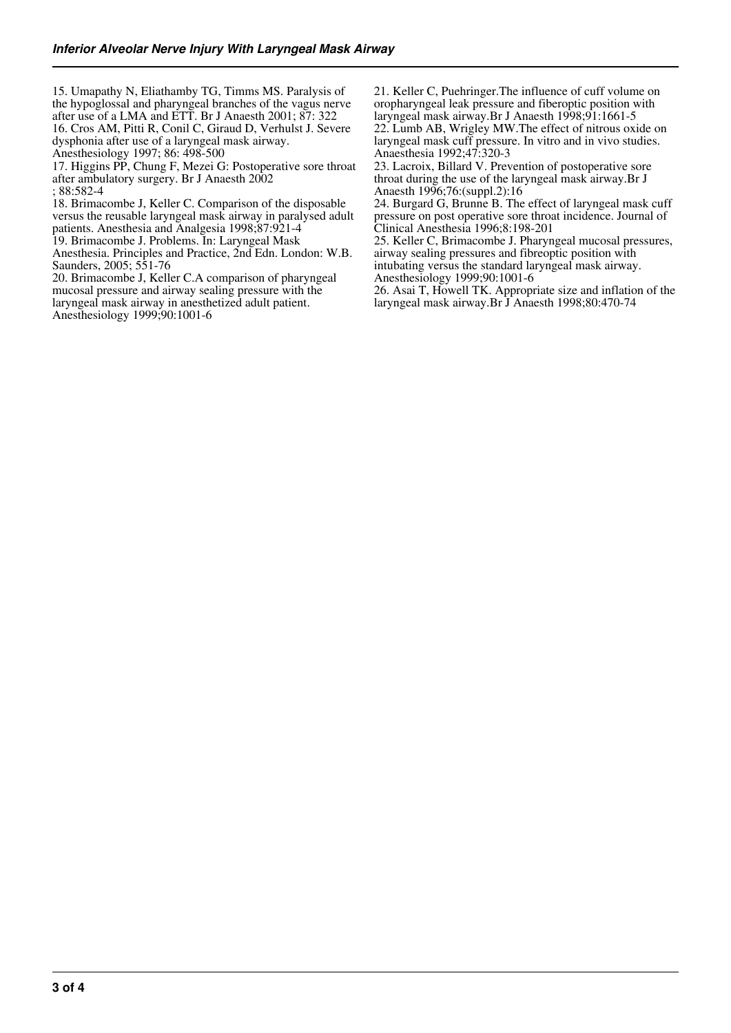15. Umapathy N, Eliathamby TG, Timms MS. Paralysis of the hypoglossal and pharyngeal branches of the vagus nerve after use of a LMA and ETT. Br J Anaesth 2001; 87: 322 16. Cros AM, Pitti R, Conil C, Giraud D, Verhulst J. Severe dysphonia after use of a laryngeal mask airway.

Anesthesiology 1997; 86: 498-500

17. Higgins PP, Chung F, Mezei G: Postoperative sore throat after ambulatory surgery. Br J Anaesth 2002

; 88:582-4

18. Brimacombe J, Keller C. Comparison of the disposable versus the reusable laryngeal mask airway in paralysed adult patients. Anesthesia and Analgesia 1998;87:921-4

19. Brimacombe J. Problems. In: Laryngeal Mask

Anesthesia. Principles and Practice, 2nd Edn. London: W.B. Saunders, 2005; 551-76

20. Brimacombe J, Keller C.A comparison of pharyngeal mucosal pressure and airway sealing pressure with the laryngeal mask airway in anesthetized adult patient. Anesthesiology 1999;90:1001-6

21. Keller C, Puehringer.The influence of cuff volume on oropharyngeal leak pressure and fiberoptic position with laryngeal mask airway.Br J Anaesth 1998;91:1661-5

22. Lumb AB, Wrigley MW.The effect of nitrous oxide on laryngeal mask cuff pressure. In vitro and in vivo studies. Anaesthesia 1992;47:320-3

23. Lacroix, Billard V. Prevention of postoperative sore throat during the use of the laryngeal mask airway.Br J Anaesth 1996;76:(suppl.2):16

24. Burgard G, Brunne B. The effect of laryngeal mask cuff pressure on post operative sore throat incidence. Journal of Clinical Anesthesia 1996;8:198-201

25. Keller C, Brimacombe J. Pharyngeal mucosal pressures, airway sealing pressures and fibreoptic position with intubating versus the standard laryngeal mask airway. Anesthesiology 1999;90:1001-6

26. Asai T, Howell TK. Appropriate size and inflation of the laryngeal mask airway.Br J Anaesth 1998;80:470-74